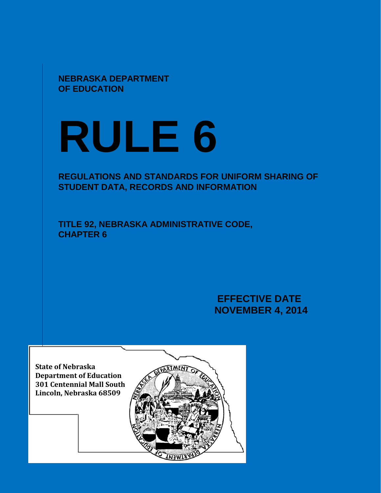**NEBRASKA DEPARTMENT OF EDUCATION**

# **RULE 6**

# **REGULATIONS AND STANDARDS FOR UNIFORM SHARING OF STUDENT DATA, RECORDS AND INFORMATION**

**TITLE 92, NEBRASKA ADMINISTRATIVE CODE, CHAPTER 6**

> **EFFECTIVE DATE NOVEMBER 4, 2014**

**State of Nebraska Department of Education 301 Centennial Mall South Lincoln, Nebraska 68509**

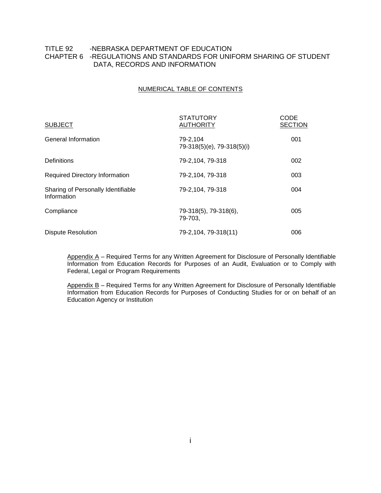# TITLE 92 -NEBRASKA DEPARTMENT OF EDUCATION CHAPTER 6 -REGULATIONS AND STANDARDS FOR UNIFORM SHARING OF STUDENT DATA, RECORDS AND INFORMATION

#### NUMERICAL TABLE OF CONTENTS

| <b>SUBJECT</b>                                    | <b>STATUTORY</b><br><b>AUTHORITY</b>   | CODE<br><b>SECTION</b> |
|---------------------------------------------------|----------------------------------------|------------------------|
| General Information                               | 79-2,104<br>79-318(5)(e), 79-318(5)(i) | 001                    |
| <b>Definitions</b>                                | 79-2,104, 79-318                       | 002                    |
| <b>Required Directory Information</b>             | 79-2,104, 79-318                       | 003                    |
| Sharing of Personally Identifiable<br>Information | 79-2,104, 79-318                       | 004                    |
| Compliance                                        | 79-318(5), 79-318(6),<br>79-703.       | 005                    |
| <b>Dispute Resolution</b>                         | 79-2,104, 79-318(11)                   | 006                    |

Appendix A - Required Terms for any Written Agreement for Disclosure of Personally Identifiable Information from Education Records for Purposes of an Audit, Evaluation or to Comply with Federal, Legal or Program Requirements

Appendix B - Required Terms for any Written Agreement for Disclosure of Personally Identifiable Information from Education Records for Purposes of Conducting Studies for or on behalf of an Education Agency or Institution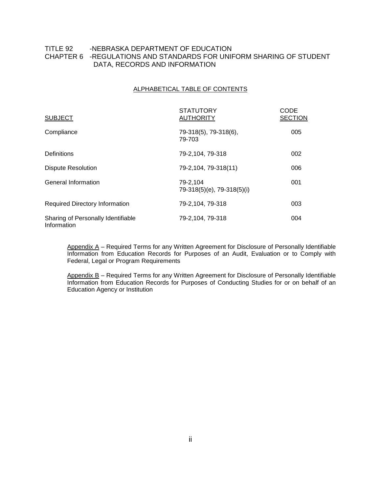# TITLE 92 -NEBRASKA DEPARTMENT OF EDUCATION CHAPTER 6 -REGULATIONS AND STANDARDS FOR UNIFORM SHARING OF STUDENT DATA, RECORDS AND INFORMATION

#### ALPHABETICAL TABLE OF CONTENTS

| <b>SUBJECT</b>                                    | <b>STATUTORY</b><br><b>AUTHORITY</b>   | CODE<br><b>SECTION</b> |
|---------------------------------------------------|----------------------------------------|------------------------|
| Compliance                                        | 79-318(5), 79-318(6),<br>79-703        | 005                    |
| Definitions                                       | 79-2,104, 79-318                       | 002                    |
| <b>Dispute Resolution</b>                         | 79-2,104, 79-318(11)                   | 006                    |
| General Information                               | 79-2.104<br>79-318(5)(e), 79-318(5)(i) | 001                    |
| <b>Required Directory Information</b>             | 79-2,104, 79-318                       | 003                    |
| Sharing of Personally Identifiable<br>Information | 79-2,104, 79-318                       | 004                    |

Appendix A - Required Terms for any Written Agreement for Disclosure of Personally Identifiable Information from Education Records for Purposes of an Audit, Evaluation or to Comply with Federal, Legal or Program Requirements

Appendix B – Required Terms for any Written Agreement for Disclosure of Personally Identifiable Information from Education Records for Purposes of Conducting Studies for or on behalf of an Education Agency or Institution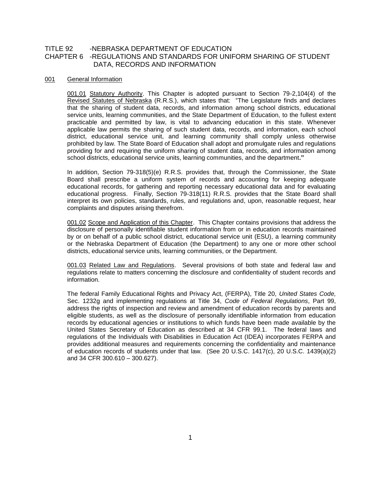### TITLE 92 -NEBRASKA DEPARTMENT OF EDUCATION CHAPTER 6 -REGULATIONS AND STANDARDS FOR UNIFORM SHARING OF STUDENT DATA, RECORDS AND INFORMATION

#### 001 General Information

001.01 Statutory Authority. This Chapter is adopted pursuant to Section 79-2,104(4) of the Revised Statutes of Nebraska (R.R.S.), which states that: "The Legislature finds and declares that the sharing of student data, records, and information among school districts, educational service units, learning communities, and the State Department of Education, to the fullest extent practicable and permitted by law, is vital to advancing education in this state. Whenever applicable law permits the sharing of such student data, records, and information, each school district, educational service unit, and learning community shall comply unless otherwise prohibited by law. The State Board of Education shall adopt and promulgate rules and regulations providing for and requiring the uniform sharing of student data, records, and information among school districts, educational service units, learning communities, and the department**."**

In addition, Section 79-318(5)(e) R.R.S. provides that, through the Commissioner, the State Board shall prescribe a uniform system of records and accounting for keeping adequate educational records, for gathering and reporting necessary educational data and for evaluating educational progress. Finally, Section 79-318(11) R.R.S. provides that the State Board shall interpret its own policies, standards, rules, and regulations and, upon, reasonable request, hear complaints and disputes arising therefrom.

001.02 Scope and Application of this Chapter. This Chapter contains provisions that address the disclosure of personally identifiable student information from or in education records maintained by or on behalf of a public school district, educational service unit (ESU), a learning community or the Nebraska Department of Education (the Department) to any one or more other school districts, educational service units, learning communities, or the Department.

001.03 Related Law and Regulations. Several provisions of both state and federal law and regulations relate to matters concerning the disclosure and confidentiality of student records and information.

The federal Family Educational Rights and Privacy Act, (FERPA), Title 20, *United States Code,*  Sec. 1232g and implementing regulations at Title 34, *Code of Federal Regulations*, Part 99, address the rights of inspection and review and amendment of education records by parents and eligible students, as well as the disclosure of personally identifiable information from education records by educational agencies or institutions to which funds have been made available by the United States Secretary of Education as described at 34 CFR 99.1. The federal laws and regulations of the Individuals with Disabilities in Education Act (IDEA) incorporates FERPA and provides additional measures and requirements concerning the confidentiality and maintenance of education records of students under that law. (See 20 U.S.C. 1417(c), 20 U.S.C. 1439(a)(2) and 34 CFR 300.610 – 300.627).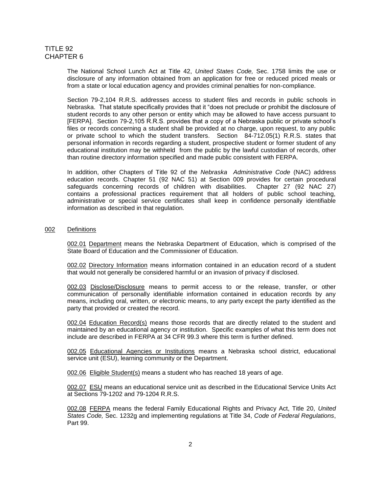The National School Lunch Act at Title 42, *United States Code,* Sec. 1758 limits the use or disclosure of any information obtained from an application for free or reduced priced meals or from a state or local education agency and provides criminal penalties for non-compliance.

Section 79-2,104 R.R.S. addresses access to student files and records in public schools in Nebraska. That statute specifically provides that it "does not preclude or prohibit the disclosure of student records to any other person or entity which may be allowed to have access pursuant to [FERPA]. Section 79-2,105 R.R.S. provides that a copy of a Nebraska public or private school's files or records concerning a student shall be provided at no charge, upon request, to any public or private school to which the student transfers. Section 84-712.05(1) R.R.S. states that personal information in records regarding a student, prospective student or former student of any educational institution may be withheld from the public by the lawful custodian of records, other than routine directory information specified and made public consistent with FERPA.

In addition, other Chapters of Title 92 of the *Nebraska Administrative Code* (NAC) address education records. Chapter 51 (92 NAC 51) at Section 009 provides for certain procedural safeguards concerning records of children with disabilities. Chapter 27 (92 NAC 27) contains a professional practices requirement that all holders of public school teaching, administrative or special service certificates shall keep in confidence personally identifiable information as described in that regulation.

#### 002 Definitions

002.01 Department means the Nebraska Department of Education, which is comprised of the State Board of Education and the Commissioner of Education.

002.02 Directory Information means information contained in an education record of a student that would not generally be considered harmful or an invasion of privacy if disclosed.

002.03 Disclose/Disclosure means to permit access to or the release, transfer, or other communication of personally identifiable information contained in education records by any means, including oral, written, or electronic means, to any party except the party identified as the party that provided or created the record.

002.04 Education Record(s) means those records that are directly related to the student and maintained by an educational agency or institution. Specific examples of what this term does not include are described in FERPA at 34 CFR 99.3 where this term is further defined.

002.05 Educational Agencies or Institutions means a Nebraska school district, educational service unit (ESU), learning community or the Department.

002.06 Eligible Student(s) means a student who has reached 18 years of age.

002.07 ESU means an educational service unit as described in the Educational Service Units Act at Sections 79-1202 and 79-1204 R.R.S.

002.08 FERPA means the federal Family Educational Rights and Privacy Act, Title 20, *United States Code,* Sec. 1232g and implementing regulations at Title 34, *Code of Federal Regulations*, Part 99.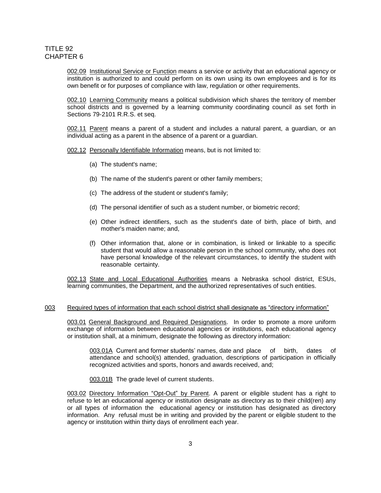002.09 Institutional Service or Function means a service or activity that an educational agency or institution is authorized to and could perform on its own using its own employees and is for its own benefit or for purposes of compliance with law, regulation or other requirements.

002.10 Learning Community means a political subdivision which shares the territory of member school districts and is governed by a learning community coordinating council as set forth in Sections 79-2101 R.R.S. et seq.

002.11 Parent means a parent of a student and includes a natural parent, a guardian, or an individual acting as a parent in the absence of a parent or a guardian.

002.12 Personally Identifiable Information means, but is not limited to:

- (a) The student's name;
- (b) The name of the student's parent or other family members;
- (c) The address of the student or student's family;
- (d) The personal identifier of such as a student number, or biometric record;
- (e) Other indirect identifiers, such as the student's date of birth, place of birth, and mother's maiden name; and,
- (f) Other information that, alone or in combination, is linked or linkable to a specific student that would allow a reasonable person in the school community, who does not have personal knowledge of the relevant circumstances, to identify the student with reasonable certainty.

002.13 State and Local Educational Authorities means a Nebraska school district, ESUs, learning communities, the Department, and the authorized representatives of such entities.

#### 003 Required types of information that each school district shall designate as "directory information"

003.01 General Background and Required Designations. In order to promote a more uniform exchange of information between educational agencies or institutions, each educational agency or institution shall, at a minimum, designate the following as directory information:

003.01A Current and former students' names, date and place of birth, dates of attendance and school(s) attended, graduation, descriptions of participation in officially recognized activities and sports, honors and awards received, and;

003.01B The grade level of current students.

003.02 Directory Information "Opt-Out" by Parent. A parent or eligible student has a right to refuse to let an educational agency or institution designate as directory as to their child(ren) any or all types of information the educational agency or institution has designated as directory information. Any refusal must be in writing and provided by the parent or eligible student to the agency or institution within thirty days of enrollment each year.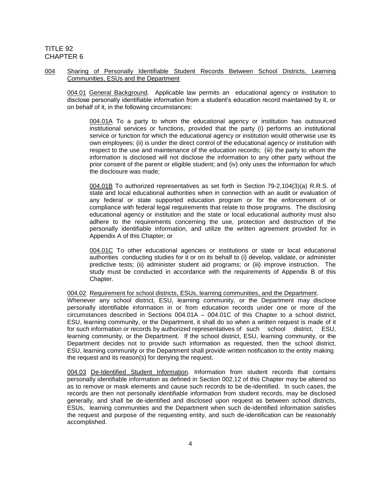#### 004 Sharing of Personally Identifiable Student Records Between School Districts, Learning Communities, ESUs and the Department

004.01 General Background. Applicable law permits an educational agency or institution to disclose personally identifiable information from a student's education record maintained by it, or on behalf of it, in the following circumstances:

004.01A To a party to whom the educational agency or institution has outsourced institutional services or functions, provided that the party (i) performs an institutional service or function for which the educational agency or institution would otherwise use its own employees; (ii) is under the direct control of the educational agency or institution with respect to the use and maintenance of the education records; (iii) the party to whom the information is disclosed will not disclose the information to any other party without the prior consent of the parent or eligible student; and (iv) only uses the information for which the disclosure was made;

004.01B To authorized representatives as set forth in Section 79-2,104(3)(a) R.R.S. of state and local educational authorities when in connection with an audit or evaluation of any federal or state supported education program or for the enforcement of or compliance with federal legal requirements that relate to those programs. The disclosing educational agency or institution and the state or local educational authority must also adhere to the requirements concerning the use, protection and destruction of the personally identifiable information, and utilize the written agreement provided for in Appendix A of this Chapter; or

004.01C To other educational agencies or institutions or state or local educational authorities conducting studies for it or on its behalf to (i) develop, validate, or administer predictive tests; (ii) administer student aid programs; or (iii) improve instruction. The study must be conducted in accordance with the requirements of Appendix B of this Chapter.

004.02 Requirement for school districts, ESUs, learning communities, and the Department. Whenever any school district, ESU, learning community, or the Department may disclose personally identifiable information in or from education records under one or more of the circumstances described in Sections 004.01A – 004.01C of this Chapter to a school district, ESU, learning community, or the Department, it shall do so when a written request is made of it for such information or records by authorized representatives of such school district, ESU, learning community, or the Department. If the school district, ESU, learning community, or the Department decides not to provide such information as requested, then the school district, ESU, learning community or the Department shall provide written notification to the entity making the request and its reason(s) for denying the request.

004.03 De-Identified Student Information. Information from student records that contains personally identifiable information as defined in Section 002.12 of this Chapter may be altered so as to remove or mask elements and cause such records to be de-identified. In such cases, the records are then not personally identifiable information from student records, may be disclosed generally, and shall be de-identified and disclosed upon request as between school districts, ESUs, learning communities and the Department when such de-identified information satisfies the request and purpose of the requesting entity, and such de-identification can be reasonably accomplished.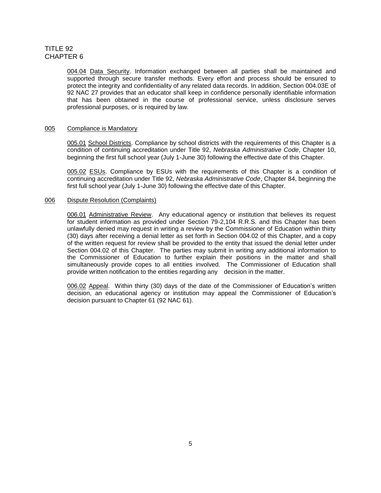004.04 Data Security. Information exchanged between all parties shall be maintained and supported through secure transfer methods. Every effort and process should be ensured to protect the integrity and confidentiality of any related data records. In addition, Section 004.03E of 92 NAC 27 provides that an educator shall keep in confidence personally identifiable information that has been obtained in the course of professional service, unless disclosure serves professional purposes, or is required by law.

#### 005 Compliance is Mandatory

005.01 School Districts. Compliance by school districts with the requirements of this Chapter is a condition of continuing accreditation under Title 92, *Nebraska Administrative Code*, Chapter 10, beginning the first full school year (July 1-June 30) following the effective date of this Chapter.

005.02 ESUs. Compliance by ESUs with the requirements of this Chapter is a condition of continuing accreditation under Title 92, *Nebraska Administrative Code*, Chapter 84, beginning the first full school year (July 1-June 30) following the effective date of this Chapter.

#### 006 Dispute Resolution (Complaints)

006.01 Administrative Review. Any educational agency or institution that believes its request for student information as provided under Section 79-2,104 R.R.S. and this Chapter has been unlawfully denied may request in writing a review by the Commissioner of Education within thirty (30) days after receiving a denial letter as set forth in Section 004.02 of this Chapter, and a copy of the written request for review shall be provided to the entity that issued the denial letter under Section 004.02 of this Chapter. The parties may submit in writing any additional information to the Commissioner of Education to further explain their positions in the matter and shall simultaneously provide copes to all entities involved. The Commissioner of Education shall provide written notification to the entities regarding any decision in the matter.

006.02 Appeal. Within thirty (30) days of the date of the Commissioner of Education's written decision, an educational agency or institution may appeal the Commissioner of Education's decision pursuant to Chapter 61 (92 NAC 61).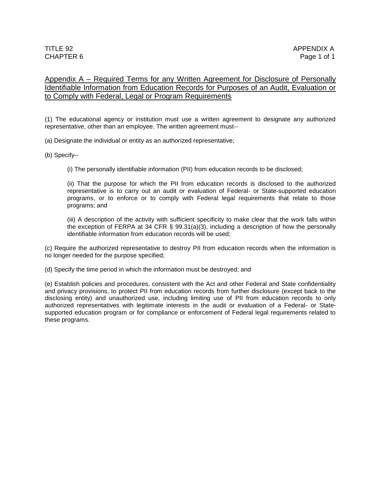# Appendix A – Required Terms for any Written Agreement for Disclosure of Personally Identifiable Information from Education Records for Purposes of an Audit, Evaluation or to Comply with Federal, Legal or Program Requirements

(1) The educational agency or institution must use a written agreement to designate any authorized representative, other than an employee. The written agreement must--

(a) Designate the individual or entity as an authorized representative;

(b) Specify--

(i) The personally identifiable information (PII) from education records to be disclosed;

(ii) That the purpose for which the PII from education records is disclosed to the authorized representative is to carry out an audit or evaluation of Federal- or State-supported education programs, or to enforce or to comply with Federal legal requirements that relate to those programs; and

(iii) A description of the activity with sufficient specificity to make clear that the work falls within the exception of FERPA at 34 CFR [§ 99.31\(a\)\(3\),](https://web2.westlaw.com/find/default.wl?mt=Nebraska&db=1000547&rs=WLW14.01&docname=34CFRS99.31&rp=%2ffind%2fdefault.wl&findtype=L&ordoc=5919237&tc=-1&vr=2.0&fn=_top%2c_top&sv=Split&tf=-1&referencepositiontype=T&pbc=BDC7909C&referenceposition=SP%3b28cc0000ccca6&utid=1) including a description of how the personally identifiable information from education records will be used;

(c) Require the authorized representative to destroy PII from education records when the information is no longer needed for the purpose specified;

(d) Specify the time period in which the information must be destroyed; and

(e) Establish policies and procedures, consistent with the Act and other Federal and State confidentiality and privacy provisions, to protect PII from education records from further disclosure (except back to the disclosing entity) and unauthorized use, including limiting use of PII from education records to only authorized representatives with legitimate interests in the audit or evaluation of a Federal- or Statesupported education program or for compliance or enforcement of Federal legal requirements related to these programs.